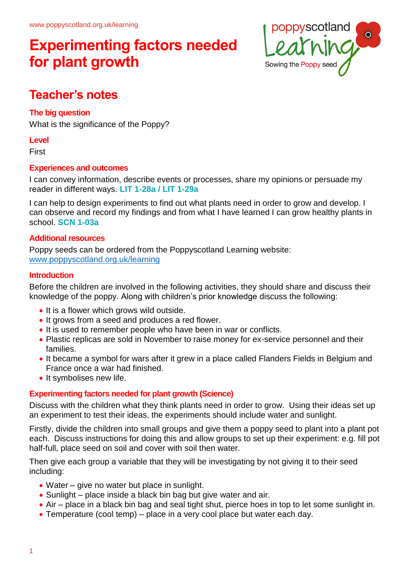

## **Teacher's notes**

### **The big question**

What is the significance of the Poppy?

#### **Level**

First

### **Experiences and outcomes**

I can convey information, describe events or processes, share my opinions or persuade my reader in different ways. **LIT 1-28a / LIT 1-29a**

I can help to design experiments to find out what plants need in order to grow and develop. I can observe and record my findings and from what I have learned I can grow healthy plants in school. **SCN 1-03a**

### **Additional resources**

Poppy seeds can be ordered from the Poppyscotland Learning website: [www.poppyscotland.org.uk/learning](http://www.poppyscotland.org.uk/learning)

### **Introduction**

Before the children are involved in the following activities, they should share and discuss their knowledge of the poppy. Along with children's prior knowledge discuss the following:

- It is a flower which grows wild outside.
- It grows from a seed and produces a red flower.
- It is used to remember people who have been in war or conflicts.
- Plastic replicas are sold in November to raise money for ex-service personnel and their families.
- It became a symbol for wars after it grew in a place called Flanders Fields in Belgium and France once a war had finished.
- It symbolises new life.

### **Experimenting factors needed for plant growth (Science)**

Discuss with the children what they think plants need in order to grow. Using their ideas set up an experiment to test their ideas, the experiments should include water and sunlight.

Firstly, divide the children into small groups and give them a poppy seed to plant into a plant pot each. Discuss instructions for doing this and allow groups to set up their experiment: e.g. fill pot half-full, place seed on soil and cover with soil then water.

Then give each group a variable that they will be investigating by not giving it to their seed including:

- Water give no water but place in sunlight.
- Sunlight place inside a black bin bag but give water and air.
- Air place in a black bin bag and seal tight shut, pierce hoes in top to let some sunlight in.
- Temperature (cool temp) place in a very cool place but water each day.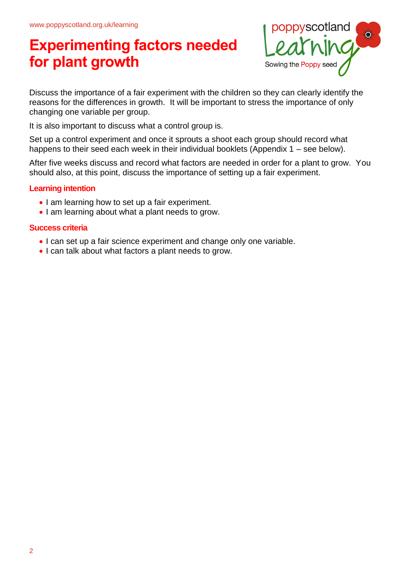

Discuss the importance of a fair experiment with the children so they can clearly identify the reasons for the differences in growth. It will be important to stress the importance of only changing one variable per group.

It is also important to discuss what a control group is.

Set up a control experiment and once it sprouts a shoot each group should record what happens to their seed each week in their individual booklets (Appendix 1 – see below).

After five weeks discuss and record what factors are needed in order for a plant to grow. You should also, at this point, discuss the importance of setting up a fair experiment.

### **Learning intention**

- I am learning how to set up a fair experiment.
- I am learning about what a plant needs to grow.

#### **Success criteria**

- I can set up a fair science experiment and change only one variable.
- I can talk about what factors a plant needs to grow.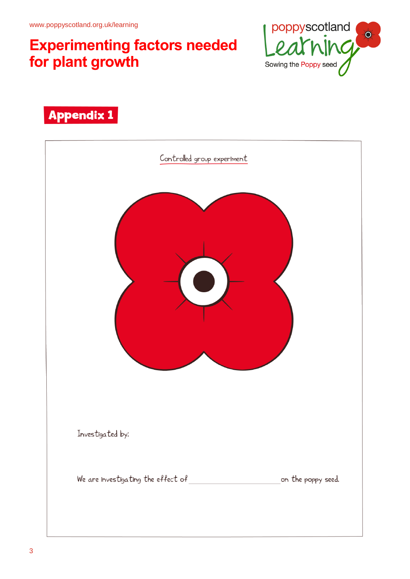

## **Appendix 1**

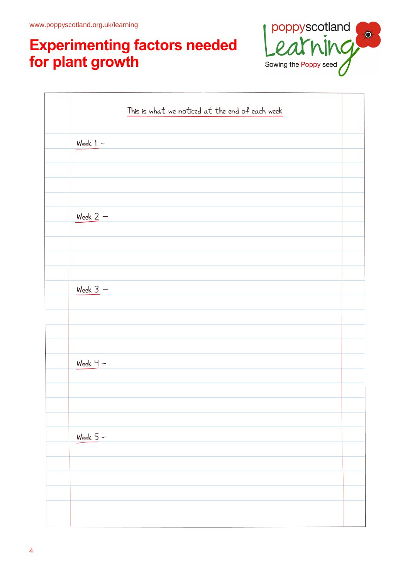

|            | This is what we noticed at the end of each week |  |
|------------|-------------------------------------------------|--|
| Week $1 -$ |                                                 |  |
|            |                                                 |  |
|            |                                                 |  |
|            |                                                 |  |
| Week $2 -$ |                                                 |  |
|            |                                                 |  |
|            |                                                 |  |
| Week $3 -$ |                                                 |  |
|            |                                                 |  |
|            |                                                 |  |
| $Week 4 -$ |                                                 |  |
|            |                                                 |  |
|            |                                                 |  |
|            |                                                 |  |
| Week $5-$  |                                                 |  |
|            |                                                 |  |
|            |                                                 |  |
|            |                                                 |  |
|            |                                                 |  |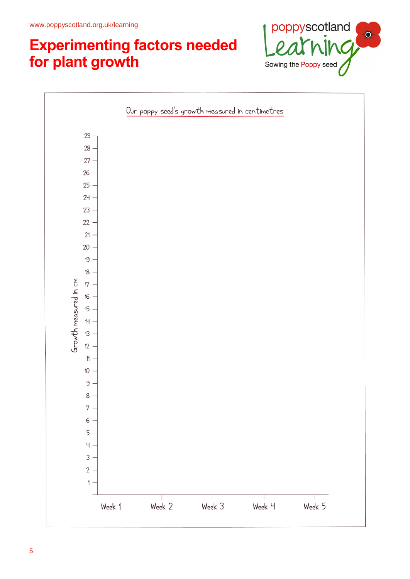

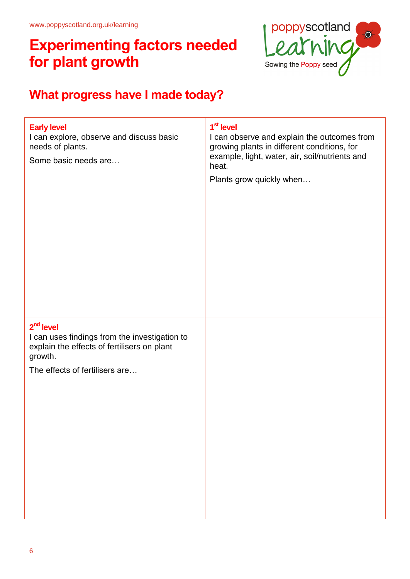

## **What progress have I made today?**

| <b>Early level</b><br>I can explore, observe and discuss basic<br>needs of plants.<br>Some basic needs are                                               | 1 <sup>st</sup> level<br>I can observe and explain the outcomes from<br>growing plants in different conditions, for<br>example, light, water, air, soil/nutrients and<br>heat.<br>Plants grow quickly when |
|----------------------------------------------------------------------------------------------------------------------------------------------------------|------------------------------------------------------------------------------------------------------------------------------------------------------------------------------------------------------------|
| $2nd$ level<br>I can uses findings from the investigation to<br>explain the effects of fertilisers on plant<br>growth.<br>The effects of fertilisers are |                                                                                                                                                                                                            |